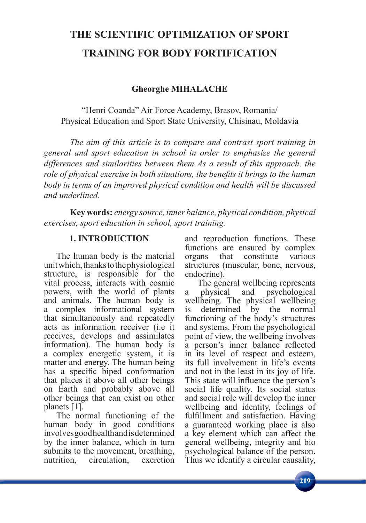# **THE SCIENTIFIC OPTIMIZATION OF SPORT TRAINING FOR BODY FORTIFICATION**

## **Gheorghe MIHALACHE**

"Henri Coanda" Air Force Academy, Brasov, Romania/ Physical Education and Sport State University, Chisinau, Moldavia

*The aim of this article is to compare and contrast sport training in general and sport education in school in order to emphasize the general differences and similarities between them As a result of this approach, the*  role of physical exercise in both situations, the benefits it brings to the human *body in terms of an improved physical condition and health will be discussed and underlined.*

**Key words:** *energy source, inner balance, physical condition, physical exercises, sport education in school, sport training.*

#### **1. INTRODUCTION**

The human body is the material unit which, thanks to the physiological structure, is responsible for the vital process, interacts with cosmic powers, with the world of plants and animals. The human body is a complex informational system that simultaneously and repeatedly acts as information receiver (i.e it receives, develops and assimilates information). The human body is a complex energetic system, it is matter and energy. The human being has a specific biped conformation that places it above all other beings on Earth and probably above all other beings that can exist on other planets [1].

The normal functioning of the human body in good conditions involves good health and is determined by the inner balance, which in turn submits to the movement, breathing, nutrition, circulation, excretion

and reproduction functions. These functions are ensured by complex organs that constitute various structures (muscular, bone, nervous, endocrine).

The general wellbeing represents a physical and psychological wellbeing. The physical wellbeing is determined by the normal functioning of the body's structures and systems. From the psychological point of view, the wellbeing involves a person's inner balance reflected in its level of respect and esteem, its full involvement in life's events and not in the least in its joy of life. This state will influence the person's social life quality. Its social status and social role will develop the inner wellbeing and identity, feelings of fulfillment and satisfaction. Having a guaranteed working place is also a key element which can affect the general wellbeing, integrity and bio psychological balance of the person. Thus we identify a circular causality,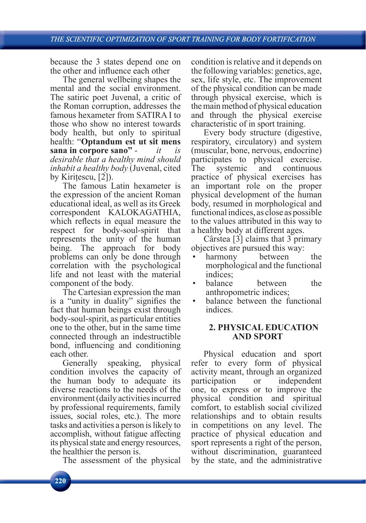because the 3 states depend one on the other and influence each other

The general wellbeing shapes the mental and the social environment. The satiric poet Juvenal, a critic of the Roman corruption, addresses the famous hexameter from SATIRA I to those who show no interest towards body health, but only to spiritual health: "**Optandum est ut sit mens sana in corpore sano"** - *it is desirable that a healthy mind should inhabit a healthy body* (Juvenal, cited by Kiritescu,  $[2]$ ).

The famous Latin hexameter is the expression of the ancient Roman educational ideal, as well as its Greek correspondent KALOKAGATHIA, which reflects in equal measure the respect for body-soul-spirit that represents the unity of the human being. The approach for body problems can only be done through correlation with the psychological life and not least with the material component of the body.

The Cartesian expression the man is a "unity in duality" signifies the fact that human beings exist through body-soul-spirit, as particular entities one to the other, but in the same time connected through an indestructible bond, influencing and conditioning each other.

Generally speaking, physical condition involves the capacity of the human body to adequate its diverse reactions to the needs of the environment (daily activities incurred by professional requirements, family issues, social roles, etc.). The more tasks and activities a person is likely to accomplish, without fatigue affecting its physical state and energy resources, the healthier the person is.

The assessment of the physical

condition is relative and it depends on the following variables: genetics, age, sex, life style, etc. The improvement of the physical condition can be made through physical exercise, which is the main method of physical education and through the physical exercise characteristic of in sport training.

Every body structure (digestive, respiratory, circulatory) and system (muscular, bone, nervous, endocrine) participates to physical exercise. The systemic and continuous practice of physical exercises has an important role on the proper physical development of the human body, resumed in morphological and functional indices, as close as possible to the values attributed in this way to a healthy body at different ages.

Cârstea [3] claims that 3 primary objectives are pursued this way:

- harmony between the morphological and the functional indices;
- balance between the anthropometric indices;
- balance between the functional indices.

## **2. PHYSICAL EDUCATION AND SPORT**

Physical education and sport refer to every form of physical activity meant, through an organized participation or independent one, to express or to improve the physical condition and spiritual comfort, to establish social civilized relationships and to obtain results in competitions on any level. The practice of physical education and sport represents a right of the person, without discrimination, guaranteed by the state, and the administrative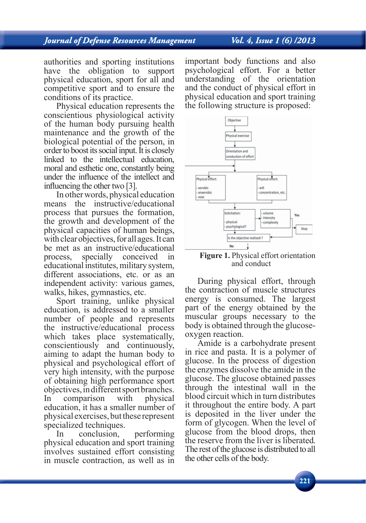# **Journal of Defense Resources Management**

# Vol. 4, Issue 1 (6) /2013

authorities and sporting institutions have the obligation to support physical education, sport for all and competitive sport and to ensure the conditions of its practice.

Physical education represents the conscientious physiological activity of the human body pursuing health maintenance and the growth of the biological potential of the person, in order to boost its social input. It is closely linked to the intellectual education, moral and esthetic one, constantly being under the influence of the intellect and influencing the other two [3].

In other words, physical education means the instructive/educational process that pursues the formation, the growth and development of the physical capacities of human beings, with clear objectives, for all ages. It can be met as an instructive/educational process, specially conceived in educational institutes, military system, different associations, etc. or as an independent activity: various games, walks, hikes, gymnastics, etc.

Sport training, unlike physical education, is addressed to a smaller number of people and represents the instructive/educational process which takes place systematically, conscientiously and continuously, aiming to adapt the human body to physical and psychological effort of very high intensity, with the purpose of obtaining high performance sport objectives, in different sport branches. In comparison with physical education, it has a smaller number of physical exercises, but these represent specialized techniques.

In conclusion, performing physical education and sport training involves sustained effort consisting in muscle contraction, as well as in

important body functions and also psychological effort. For a better understanding of the orientation and the conduct of physical effort in physical education and sport training the following structure is proposed:



**Figure 1.** Physical effort orientation and conduct

During physical effort, through the contraction of muscle structures energy is consumed. The largest part of the energy obtained by the muscular groups necessary to the body is obtained through the glucoseoxygen reaction.

Amide is a carbohydrate present in rice and pasta. It is a polymer of glucose. In the process of digestion the enzymes dissolve the amide in the glucose. The glucose obtained passes through the intestinal wall in the blood circuit which in turn distributes it throughout the entire body. A part is deposited in the liver under the form of glycogen. When the level of glucose from the blood drops, then the reserve from the liver is liberated. The rest of the glucose is distributed to all the other cells of the body.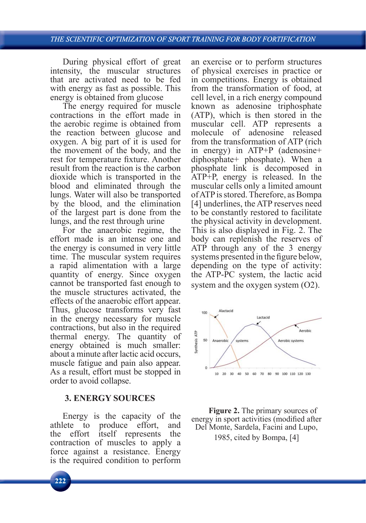During physical effort of great intensity, the muscular structures that are activated need to be fed with energy as fast as possible. This energy is obtained from glucose

The energy required for muscle contractions in the effort made in the aerobic regime is obtained from the reaction between glucose and oxygen. A big part of it is used for the movement of the body, and the rest for temperature fixture. Another result from the reaction is the carbon dioxide which is transported in the blood and eliminated through the lungs. Water will also be transported by the blood, and the elimination of the largest part is done from the lungs, and the rest through urine

For the anaerobic regime, the effort made is an intense one and the energy is consumed in very little time. The muscular system requires a rapid alimentation with a large quantity of energy. Since oxygen cannot be transported fast enough to the muscle structures activated, the effects of the anaerobic effort appear. Thus, glucose transforms very fast in the energy necessary for muscle contractions, but also in the required thermal energy. The quantity of energy obtained is much smaller: about a minute after lactic acid occurs, muscle fatigue and pain also appear. As a result, effort must be stopped in order to avoid collapse.

# **3. ENERGY SOURCES**

Energy is the capacity of the athlete to produce effort, and the effort itself represents the contraction of muscles to apply a force against a resistance. Energy is the required condition to perform an exercise or to perform structures of physical exercises in practice or in competitions. Energy is obtained from the transformation of food, at cell level, in a rich energy compound known as adenosine triphosphate (ATP), which is then stored in the muscular cell. ATP represents a molecule of adenosine released from the transformation of ATP (rich in energy) in ATP+P (adenosine+ diphosphate+ phosphate). When a phosphate link is decomposed in ATP+P, energy is released. In the muscular cells only a limited amount of ATP is stored. Therefore, as Bompa [4] underlines, the ATP reserves need to be constantly restored to facilitate the physical activity in development. This is also displayed in Fig. 2. The body can replenish the reserves of ATP through any of the 3 energy systems presented in the figure below, depending on the type of activity: the ATP-PC system, the lactic acid system and the oxygen system (O2).



**Figure 2.** The primary sources of energy in sport activities (modified after Del Monte, Sardela, Facini and Lupo,

1985, cited by Bompa, [4]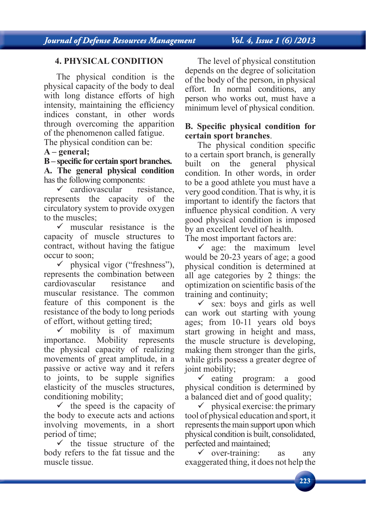Journal of Defense Resources Management

# Vol. 4, Issue 1 (6) /2013

# **4. PHYSICAL CONDITION**

The physical condition is the physical capacity of the body to deal with long distance efforts of high intensity, maintaining the efficiency indices constant, in other words through overcoming the apparition of the phenomenon called fatigue.

The physical condition can be:

## **A – general;**

B – specific for certain sport branches. **A. The general physical condition** has the following components:

 $\checkmark$  cardiovascular resistance, represents the capacity of the circulatory system to provide oxygen to the muscles;

 $\checkmark$  muscular resistance is the capacity of muscle structures to contract, without having the fatigue occur to soon;

 $\checkmark$  physical vigor ("freshness"), represents the combination between cardiovascular resistance and muscular resistance. The common feature of this component is the resistance of the body to long periods of effort, without getting tired;

 $\checkmark$  mobility is of maximum importance. Mobility represents the physical capacity of realizing movements of great amplitude, in a passive or active way and it refers to joints, to be supple signifies elasticity of the muscles structures, conditioning mobility;

 $\checkmark$  the speed is the capacity of the body to execute acts and actions involving movements, in a short period of time;

 $\checkmark$  the tissue structure of the body refers to the fat tissue and the muscle tissue.

The level of physical constitution depends on the degree of solicitation of the body of the person, in physical effort. In normal conditions, any person who works out, must have a minimum level of physical condition.

## **B.** Specific physical condition for **certain sport branches**.

The physical condition specific to a certain sport branch, is generally built on the general physical condition. In other words, in order to be a good athlete you must have a very good condition. That is why, it is important to identify the factors that influence physical condition. A very good physical condition is imposed by an excellent level of health. The most important factors are:

 $\checkmark$  age: the maximum level would be 20-23 years of age; a good physical condition is determined at all age categories by 2 things: the optimization on scientific basis of the training and continuity;

 $\checkmark$  sex: boys and girls as well can work out starting with young ages; from 10-11 years old boys start growing in height and mass, the muscle structure is developing, making them stronger than the girls, while girls posess a greater degree of joint mobility;

 $\checkmark$  eating program: a good physical condition is determined by a balanced diet and of good quality;

 $\checkmark$  physical exercise: the primary tool of physical education and sport, it represents the main support upon which physical condition is built, consolidated, perfected and maintained;

 $\checkmark$  over-training: as any exaggerated thing, it does not help the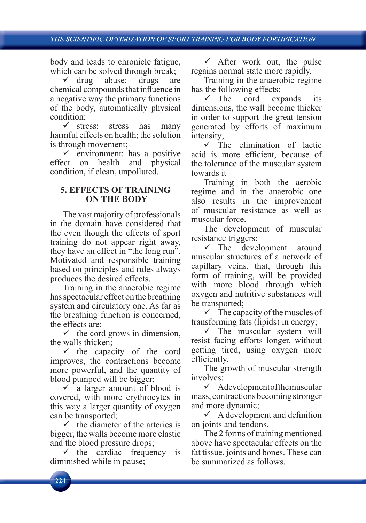#### THE SCIENTIFIC OPTIMIZATION OF SPORT TRAINING FOR BODY FORTIFICATION

body and leads to chronicle fatigue, which can be solved through break;

 $\checkmark$  drug abuse: drugs are chemical compounds that influence in a negative way the primary functions of the body, automatically physical condition;

 $\checkmark$  stress: stress has many harmful effects on health; the solution is through movement;

 $\checkmark$  environment: has a positive effect on health and physical condition, if clean, unpolluted.

### **5. EFFECTS OF TRAINING ON THE BODY**

The vast majority of professionals in the domain have considered that the even though the effects of sport training do not appear right away, they have an effect in "the long run". Motivated and responsible training based on principles and rules always produces the desired effects.

Training in the anaerobic regime has spectacular effect on the breathing system and circulatory one. As far as the breathing function is concerned, the effects are:

 $\checkmark$  the cord grows in dimension, the walls thicken;

 $\checkmark$  the capacity of the cord improves, the contractions become more powerful, and the quantity of blood pumped will be bigger;

 $\checkmark$  a larger amount of blood is covered, with more erythrocytes in this way a larger quantity of oxygen can be transported;

 $\checkmark$  the diameter of the arteries is bigger, the walls become more elastic and the blood pressure drops;

 $\checkmark$  the cardiac frequency is diminished while in pause;

 $\checkmark$  After work out, the pulse regains normal state more rapidly.

Training in the anaerobic regime has the following effects:

 $\checkmark$  The cord expands its dimensions, the wall become thicker in order to support the great tension generated by efforts of maximum intensity;

 $\checkmark$  The elimination of lactic acid is more efficient, because of the tolerance of the muscular system towards it

Training in both the aerobic regime and in the anaerobic one also results in the improvement of muscular resistance as well as muscular force.

The development of muscular resistance triggers:

 $\checkmark$  The development around muscular structures of a network of capillary veins, that, through this form of training, will be provided with more blood through which oxygen and nutritive substances will be transported;

 $\checkmark$  The capacity of the muscles of transforming fats (lipids) in energy;

 $\checkmark$  The muscular system will resist facing efforts longer, without getting tired, using oxygen more efficiently.

The growth of muscular strength involves:

 $\checkmark$  A development of the muscular mass, contractions becoming stronger and more dynamic;

 $\checkmark$  A development and definition on joints and tendons.

The 2 forms of training mentioned above have spectacular effects on the fat tissue, joints and bones. These can be summarized as follows.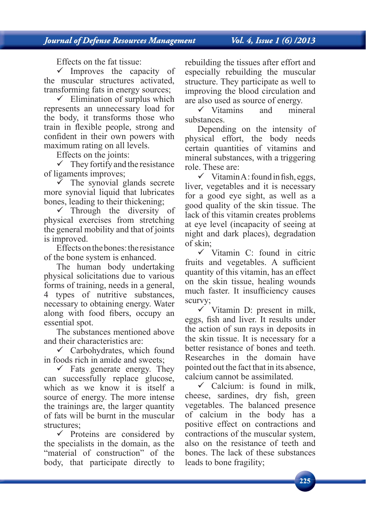Effects on the fat tissue:

 $\checkmark$  Improves the capacity of the muscular structures activated, transforming fats in energy sources;

 $\checkmark$  Elimination of surplus which represents an unnecessary load for the body, it transforms those who train in flexible people, strong and confident in their own powers with maximum rating on all levels.

Effects on the joints:

 $\checkmark$  They fortify and the resistance of ligaments improves;

 $\overline{v}$  The synovial glands secrete more synovial liquid that lubricates bones, leading to their thickening;

 $\checkmark$  Through the diversity of physical exercises from stretching the general mobility and that of joints is improved.

Effects on the bones: the resistance of the bone system is enhanced.

The human body undertaking physical solicitations due to various forms of training, needs in a general, 4 types of nutritive substances, necessary to obtaining energy. Water along with food fibers, occupy an essential spot.

The substances mentioned above and their characteristics are:

 $\checkmark$  Carbohydrates, which found in foods rich in amide and sweets;

 $\checkmark$  Fats generate energy. They can successfully replace glucose, which as we know it is itself a source of energy. The more intense the trainings are, the larger quantity of fats will be burnt in the muscular structures;

 $\checkmark$  Proteins are considered by the specialists in the domain, as the "material of construction" of the body, that participate directly to rebuilding the tissues after effort and especially rebuilding the muscular structure. They participate as well to improving the blood circulation and are also used as source of energy.

 $\checkmark$  Vitamins and mineral substances.

Depending on the intensity of physical effort, the body needs certain quantities of vitamins and mineral substances, with a triggering role. These are:

 $\checkmark$  Vitamin A : found in fish, eggs, liver, vegetables and it is necessary for a good eye sight, as well as a good quality of the skin tissue. The lack of this vitamin creates problems at eye level (incapacity of seeing at night and dark places), degradation of skin;

 $\checkmark$  Vitamin C: found in citric fruits and vegetables. A sufficient quantity of this vitamin, has an effect on the skin tissue, healing wounds much faster. It insufficiency causes scurvy;

 $\checkmark$  Vitamin D: present in milk, eggs, fish and liver. It results under the action of sun rays in deposits in the skin tissue. It is necessary for a better resistance of bones and teeth. Researches in the domain have pointed out the fact that in its absence, calcium cannot be assimilated.

 $\checkmark$  Calcium: is found in milk, cheese, sardines, dry fish, green vegetables. The balanced presence of calcium in the body has a positive effect on contractions and contractions of the muscular system, also on the resistance of teeth and bones. The lack of these substances leads to bone fragility;